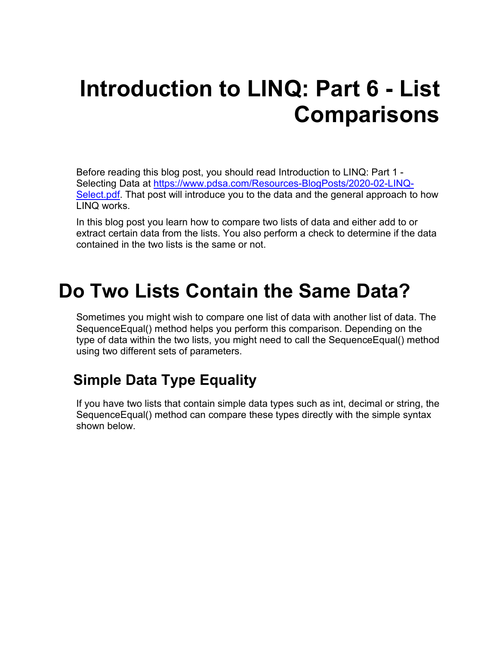# **Introduction to LINQ: Part 6 - List Comparisons**

Before reading this blog post, you should read Introduction to LINQ: Part 1 - Selecting Data at [https://www.pdsa.com/Resources-BlogPosts/2020-02-LINQ-](https://www.pdsa.com/Resources-BlogPosts/2020-02-LINQ-Select.pdf)[Select.pdf.](https://www.pdsa.com/Resources-BlogPosts/2020-02-LINQ-Select.pdf) That post will introduce you to the data and the general approach to how LINQ works.

In this blog post you learn how to compare two lists of data and either add to or extract certain data from the lists. You also perform a check to determine if the data contained in the two lists is the same or not.

## **Do Two Lists Contain the Same Data?**

Sometimes you might wish to compare one list of data with another list of data. The SequenceEqual() method helps you perform this comparison. Depending on the type of data within the two lists, you might need to call the SequenceEqual() method using two different sets of parameters.

## **Simple Data Type Equality**

If you have two lists that contain simple data types such as int, decimal or string, the SequenceEqual() method can compare these types directly with the simple syntax shown below.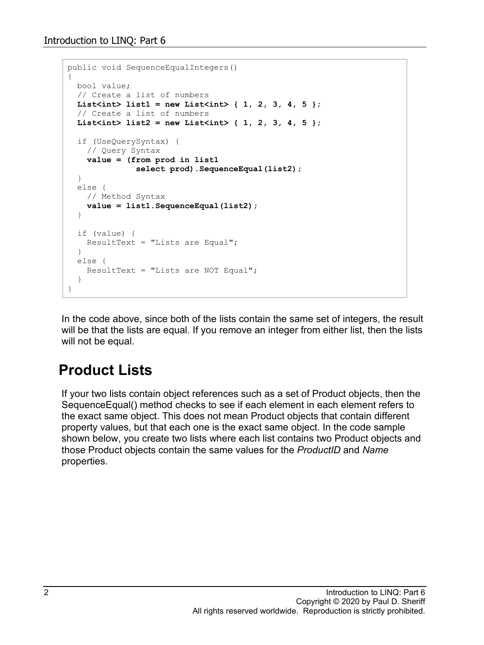```
public void SequenceEqualIntegers()
{
  bool value;
   // Create a list of numbers
  List<int> list1 = new List<int> \{ 1, 2, 3, 4, 5 \};
   // Create a list of numbers
  List<int> list2 = new List<int> { 1, 2, 3, 4, 5 };
   if (UseQuerySyntax) {
     // Query Syntax
     value = (from prod in list1
               select prod).SequenceEqual(list2);
   }
   else {
    // Method Syntax
    value = list1.SequenceEqual(list2);
   }
   if (value) {
    ResultText = "Lists are Equal";
   }
   else {
     ResultText = "Lists are NOT Equal";
   }
}
```
In the code above, since both of the lists contain the same set of integers, the result will be that the lists are equal. If you remove an integer from either list, then the lists will not be equal.

### **Product Lists**

If your two lists contain object references such as a set of Product objects, then the SequenceEqual() method checks to see if each element in each element refers to the exact same object. This does not mean Product objects that contain different property values, but that each one is the exact same object. In the code sample shown below, you create two lists where each list contains two Product objects and those Product objects contain the same values for the *ProductID* and *Name* properties.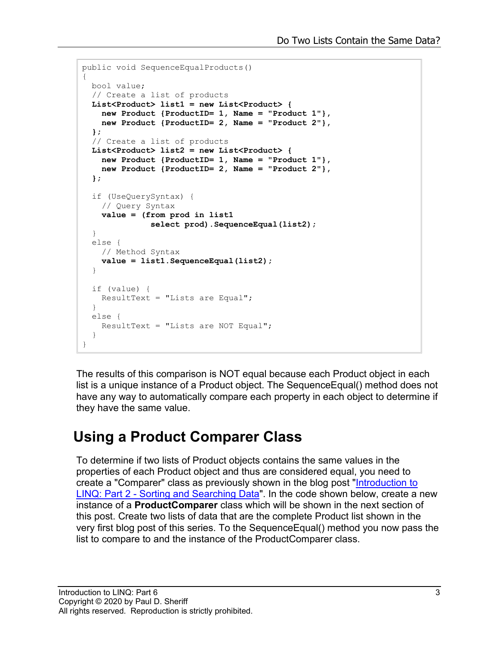```
public void SequenceEqualProducts()
{
  bool value;
  // Create a list of products
  List<Product> list1 = new List<Product> {
   new Product {ProductID= 1, Name = "Product 1"},
    new Product {ProductID= 2, Name = "Product 2"},
   };
   // Create a list of products
 List<Product> list2 = new List<Product> {
    new Product {ProductID= 1, Name = "Product 1"},
    new Product {ProductID= 2, Name = "Product 2"},
   };
   if (UseQuerySyntax) {
    // Query Syntax
    value = (from prod in list1
               select prod).SequenceEqual(list2);
   }
  else {
    // Method Syntax
    value = list1.SequenceEqual(list2);
 }
   if (value) {
    ResultText = "Lists are Equal";
   }
  else {
    ResultText = "Lists are NOT Equal";
   }
}
```
The results of this comparison is NOT equal because each Product object in each list is a unique instance of a Product object. The SequenceEqual() method does not have any way to automatically compare each property in each object to determine if they have the same value.

### **Using a Product Comparer Class**

To determine if two lists of Product objects contains the same values in the properties of each Product object and thus are considered equal, you need to create a "Comparer" class as previously shown in the blog post ["Introduction to](https://www.pdsa.com/Resources-BlogPosts/2020-03-LINQ-OrderBy-Searching.pdf)  LINQ: Part 2 - Sorting [and Searching Data"](https://www.pdsa.com/Resources-BlogPosts/2020-03-LINQ-OrderBy-Searching.pdf). In the code shown below, create a new instance of a **ProductComparer** class which will be shown in the next section of this post. Create two lists of data that are the complete Product list shown in the very first blog post of this series. To the SequenceEqual() method you now pass the list to compare to and the instance of the ProductComparer class.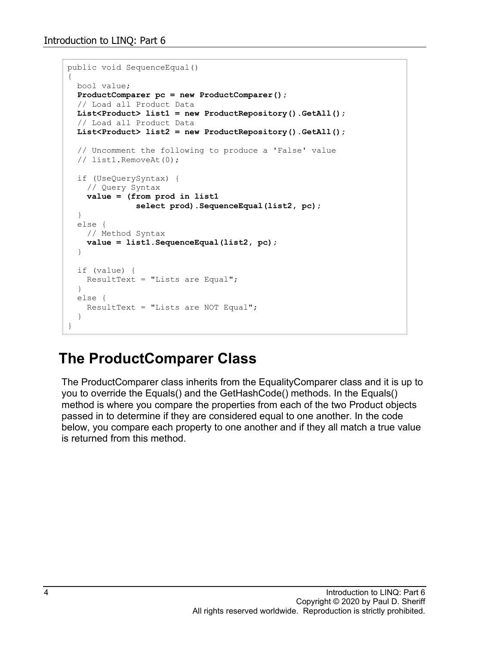```
public void SequenceEqual()
{
  bool value;
  ProductComparer pc = new ProductComparer();
   // Load all Product Data
 List<Product> list1 = new ProductRepository().GetAll();
   // Load all Product Data
  List<Product> list2 = new ProductRepository().GetAll();
   // Uncomment the following to produce a 'False' value
   // list1.RemoveAt(0);
  if (UseQuerySyntax) {
    // Query Syntax
    value = (from prod in list1
               select prod).SequenceEqual(list2, pc);
   }
  else {
    // Method Syntax
    value = list1.SequenceEqual(list2, pc);
   }
   if (value) {
    ResultText = "Lists are Equal";
   }
   else {
   ResultText = "Lists are NOT Equal";
   }
}
```
#### **The ProductComparer Class**

The ProductComparer class inherits from the EqualityComparer class and it is up to you to override the Equals() and the GetHashCode() methods. In the Equals() method is where you compare the properties from each of the two Product objects passed in to determine if they are considered equal to one another. In the code below, you compare each property to one another and if they all match a true value is returned from this method.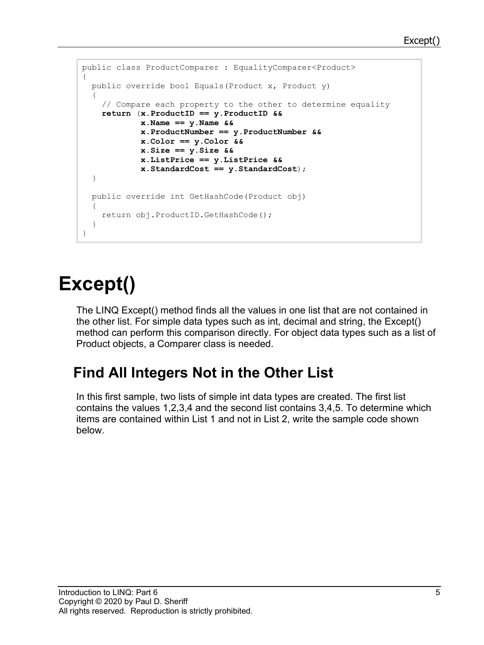```
public class ProductComparer : EqualityComparer<Product>
{
  public override bool Equals(Product x, Product y)
\{ // Compare each property to the other to determine equality
    return (x.ProductID == y.ProductID &&
            x.Name == y.Name &&
             x.ProductNumber == y.ProductNumber &&
             x.Color == y.Color &&
             x.Size == y.Size &&
             x.ListPrice == y.ListPrice &&
             x.StandardCost == y.StandardCost);
   }
  public override int GetHashCode(Product obj)
   {
    return obj.ProductID.GetHashCode();
   }
}
```
# **Except()**

The LINQ Except() method finds all the values in one list that are not contained in the other list. For simple data types such as int, decimal and string, the Except() method can perform this comparison directly. For object data types such as a list of Product objects, a Comparer class is needed.

## **Find All Integers Not in the Other List**

In this first sample, two lists of simple int data types are created. The first list contains the values 1,2,3,4 and the second list contains 3,4,5. To determine which items are contained within List 1 and not in List 2, write the sample code shown below.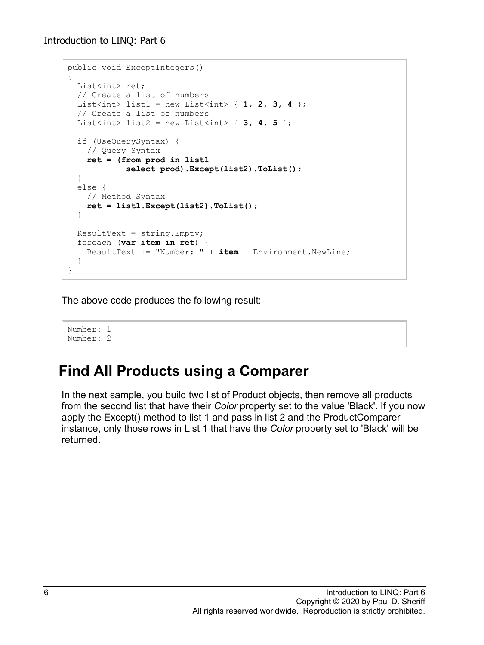```
public void ExceptIntegers()
{
  List<int> ret;
   // Create a list of numbers
 List<int> list1 = new List<int> \{ 1, 2, 3, 4 \};
   // Create a list of numbers
 List<int> list2 = new List<int> { 3, 4, 5 };
  if (UseQuerySyntax) {
    // Query Syntax
    ret = (from prod in list1
             select prod).Except(list2).ToList();
  }
  else {
    // Method Syntax
    ret = list1.Except(list2).ToList();
   }
 ResultText = string.Fmpty; foreach (var item in ret) {
    ResultText += "Number: " + item + Environment.NewLine;
   } 
}
```
The above code produces the following result:

Number: 1 Number: 2

### **Find All Products using a Comparer**

In the next sample, you build two list of Product objects, then remove all products from the second list that have their *Color* property set to the value 'Black'. If you now apply the Except() method to list 1 and pass in list 2 and the ProductComparer instance, only those rows in List 1 that have the *Color* property set to 'Black' will be returned.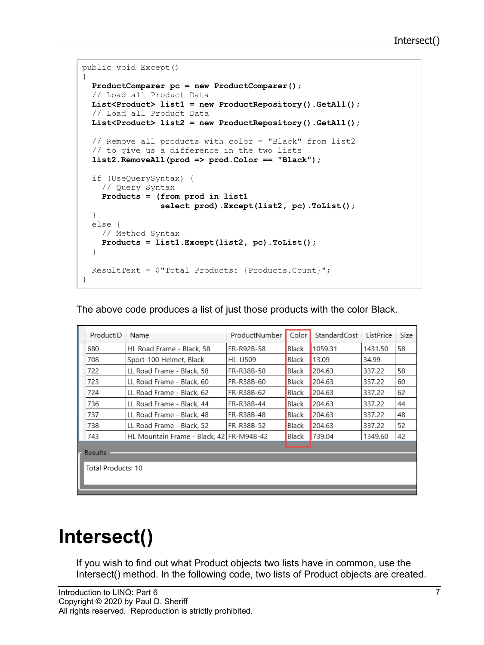```
public void Except()
{
  ProductComparer pc = new ProductComparer();
  // Load all Product Data
  List<Product> list1 = new ProductRepository().GetAll();
   // Load all Product Data
  List<Product> list2 = new ProductRepository().GetAll();
   // Remove all products with color = "Black" from list2 
   // to give us a difference in the two lists
   list2.RemoveAll(prod => prod.Color == "Black");
   if (UseQuerySyntax) {
     // Query Syntax
     Products = (from prod in list1
                 select prod).Except(list2, pc).ToList();
   }
  else {
    // Method Syntax
    Products = list1.Except(list2, pc).ToList();
   }
   ResultText = $"Total Products: {Products.Count}";
}
```
The above code produces a list of just those products with the color Black.

| ProductID          | Name                                     | ProductNumber | Color        | StandardCost | ListPrice | Size |  |  |
|--------------------|------------------------------------------|---------------|--------------|--------------|-----------|------|--|--|
| 680                | HL Road Frame - Black, 58                | FR-R92B-58    | Black        | 1059.31      | 1431.50   | 58   |  |  |
| 708                | Sport-100 Helmet, Black                  | HL-U509       | Black        | 13.09        | 34.99     |      |  |  |
| 722                | LL Road Frame - Black, 58                | FR-R38B-58    | Black        | 204.63       | 337.22    | 58   |  |  |
| 723                | LL Road Frame - Black, 60                | FR-R38B-60    | Black        | 204.63       | 337.22    | 60   |  |  |
| 724                | LL Road Frame - Black, 62                | FR-R38B-62    | Black        | 204.63       | 337.22    | 62   |  |  |
| 736                | LL Road Frame - Black, 44                | FR-R38B-44    | Black        | 204.63       | 337.22    | 44   |  |  |
| 737                | LL Road Frame - Black, 48                | FR-R38B-48    | <b>Black</b> | 204.63       | 337.22    | 48   |  |  |
| 738                | LL Road Frame - Black, 52                | FR-R38B-52    | Black        | 204.63       | 337.22    | 52   |  |  |
| 743                | HL Mountain Frame - Black, 42 FR-M94B-42 |               | Black        | 739.04       | 1349.60   | 42   |  |  |
| Results            |                                          |               |              |              |           |      |  |  |
| Total Products: 10 |                                          |               |              |              |           |      |  |  |

# **Intersect()**

If you wish to find out what Product objects two lists have in common, use the Intersect() method. In the following code, two lists of Product objects are created.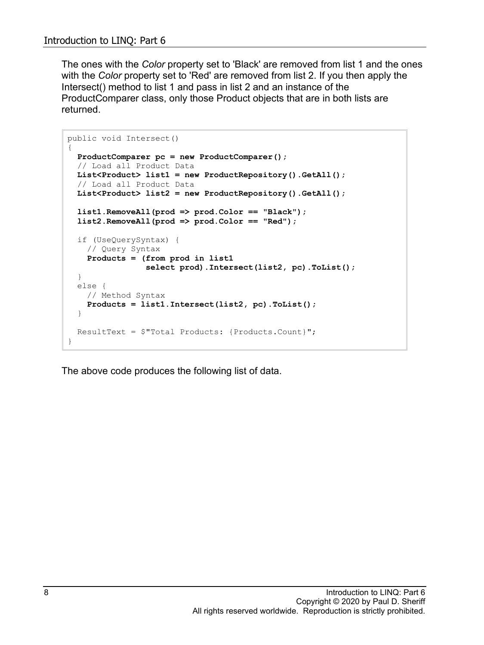The ones with the *Color* property set to 'Black' are removed from list 1 and the ones with the *Color* property set to 'Red' are removed from list 2. If you then apply the Intersect() method to list 1 and pass in list 2 and an instance of the ProductComparer class, only those Product objects that are in both lists are returned.

```
public void Intersect()
{
   ProductComparer pc = new ProductComparer();
   // Load all Product Data
   List<Product> list1 = new ProductRepository().GetAll();
   // Load all Product Data
   List<Product> list2 = new ProductRepository().GetAll();
   list1.RemoveAll(prod => prod.Color == "Black");
   list2.RemoveAll(prod => prod.Color == "Red");
   if (UseQuerySyntax) {
     // Query Syntax
     Products = (from prod in list1
                 select prod).Intersect(list2, pc).ToList();
   }
  else {
     // Method Syntax
     Products = list1.Intersect(list2, pc).ToList();
   }
  ResultText = $"Total Products: {Products.Count}";
}
```
The above code produces the following list of data.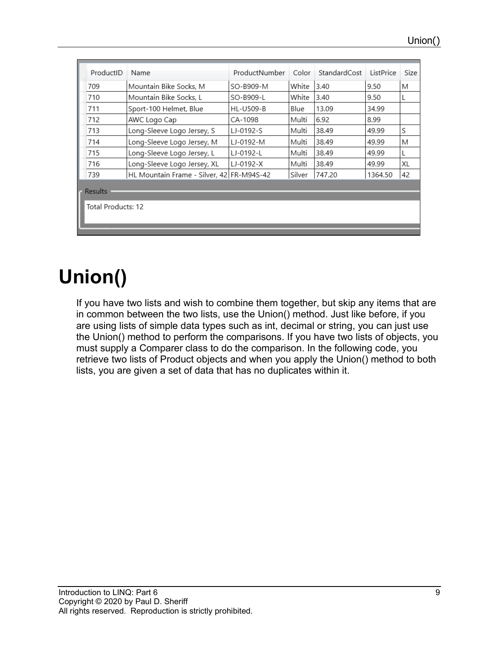| ProductID          | Name                                      | ProductNumber | Color  | StandardCost | ListPrice | Size |  |  |
|--------------------|-------------------------------------------|---------------|--------|--------------|-----------|------|--|--|
| 709                | Mountain Bike Socks, M                    | SO-B909-M     | White  | 3.40         | 9.50      | М    |  |  |
| 710                | Mountain Bike Socks, L                    | SO-B909-L     | White  | 3.40         | 9.50      |      |  |  |
| 711                | Sport-100 Helmet, Blue                    | HL-U509-B     | Blue   | 13.09        | 34.99     |      |  |  |
| 712                | AWC Logo Cap                              | CA-1098       | Multi  | 6.92         | 8.99      |      |  |  |
| 713                | Long-Sleeve Logo Jersey, S                | LJ-0192-S     | Multi  | 38.49        | 49.99     | S    |  |  |
| 714                | Long-Sleeve Logo Jersey, M                | LJ-0192-M     | Multi  | 38.49        | 49.99     | М    |  |  |
| 715                | Long-Sleeve Logo Jersey, L                | LJ-0192-L     | Multi  | 38.49        | 49.99     |      |  |  |
| 716                | Long-Sleeve Logo Jersey, XL               | $LJ-0192-X$   | Multi  | 38.49        | 49.99     | XL   |  |  |
| 739                | HL Mountain Frame - Silver, 42 FR-M94S-42 |               | Silver | 747.20       | 1364.50   | 42   |  |  |
| <b>Results</b>     |                                           |               |        |              |           |      |  |  |
| Total Products: 12 |                                           |               |        |              |           |      |  |  |

# **Union()**

If you have two lists and wish to combine them together, but skip any items that are in common between the two lists, use the Union() method. Just like before, if you are using lists of simple data types such as int, decimal or string, you can just use the Union() method to perform the comparisons. If you have two lists of objects, you must supply a Comparer class to do the comparison. In the following code, you retrieve two lists of Product objects and when you apply the Union() method to both lists, you are given a set of data that has no duplicates within it.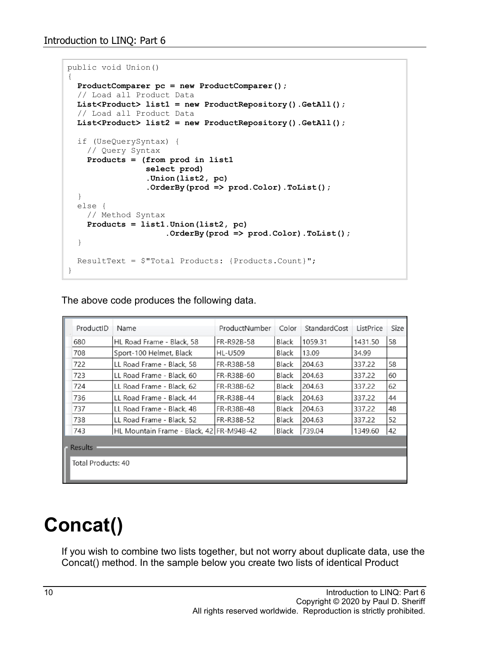```
public void Union()
{
  ProductComparer pc = new ProductComparer();
   // Load all Product Data
  List<Product> list1 = new ProductRepository().GetAll();
   // Load all Product Data
  List<Product> list2 = new ProductRepository().GetAll();
   if (UseQuerySyntax) {
    // Query Syntax
    Products = (from prod in list1
                 select prod)
                .Union(list2, pc)
                .OrderBy(prod => prod.Color).ToList();
   }
   else {
    // Method Syntax
    Products = list1.Union(list2, pc)
                    .OrderBy(prod => prod.Color).ToList();
   }
  ResultText = $"Total Products: {Products.Count}";
}
```
The above code produces the following data.

|                | ProductID          | Name                                     | ProductNumber  | Color | StandardCost | ListPrice | Size |  |
|----------------|--------------------|------------------------------------------|----------------|-------|--------------|-----------|------|--|
|                | 680                | HL Road Frame - Black, 58                | FR-R92B-58     | Black | 1059.31      | 1431.50   | 58   |  |
|                | 708                | Sport-100 Helmet, Black                  | <b>HL-U509</b> | Black | 13.09        | 34.99     |      |  |
|                | 722                | LL Road Frame - Black, 58                | FR-R38B-58     | Black | 204.63       | 337.22    | 58   |  |
|                | 723                | LL Road Frame - Black, 60                | FR-R38B-60     | Black | 204.63       | 337.22    | 60   |  |
|                | 724                | LL Road Frame - Black, 62                | FR-R38B-62     | Black | 204.63       | 337.22    | 62   |  |
|                | 736                | LL Road Frame - Black, 44                | FR-R38B-44     | Black | 204.63       | 337.22    | 44   |  |
|                | 737                | LL Road Frame - Black, 48                | FR-R38B-48     | Black | 204.63       | 337.22    | 48   |  |
|                | 738                | LL Road Frame - Black, 52                | FR-R38B-52     | Black | 204.63       | 337.22    | 52   |  |
|                | 743                | HL Mountain Frame - Black, 42 FR-M94B-42 |                | Black | 739.04       | 1349.60   | 42   |  |
| <b>Results</b> |                    |                                          |                |       |              |           |      |  |
|                |                    |                                          |                |       |              |           |      |  |
|                | Total Products: 40 |                                          |                |       |              |           |      |  |
|                |                    |                                          |                |       |              |           |      |  |
|                |                    |                                          |                |       |              |           |      |  |

## **Concat()**

If you wish to combine two lists together, but not worry about duplicate data, use the Concat() method. In the sample below you create two lists of identical Product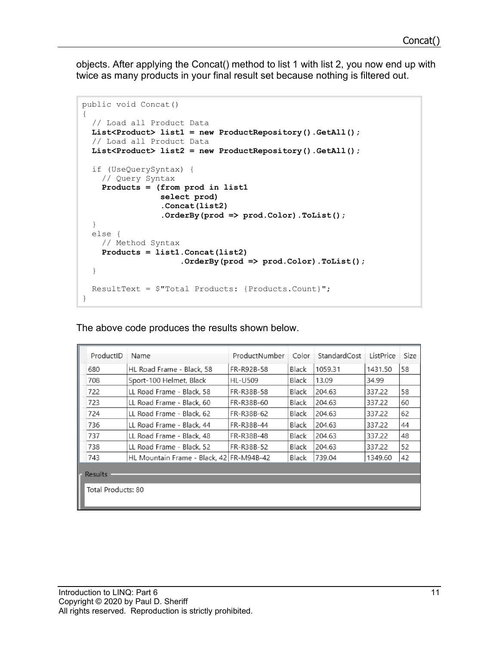objects. After applying the Concat() method to list 1 with list 2, you now end up with twice as many products in your final result set because nothing is filtered out.

```
public void Concat()
{
   // Load all Product Data
  List<Product> list1 = new ProductRepository().GetAll();
   // Load all Product Data
  List<Product> list2 = new ProductRepository().GetAll();
   if (UseQuerySyntax) {
     // Query Syntax
     Products = (from prod in list1
                 select prod)
                .Concat(list2)
                .OrderBy(prod => prod.Color).ToList();
   }
  else {
    // Method Syntax
     Products = list1.Concat(list2)
                     .OrderBy(prod => prod.Color).ToList();
   }
  ResultText = $"Total Products: {Products.Count}";
}
```
The above code produces the results shown below.

|                    | ProductID | Name                                     | ProductNumber  | Color | StandardCost | ListPrice | Size |  |
|--------------------|-----------|------------------------------------------|----------------|-------|--------------|-----------|------|--|
|                    | 680       | HL Road Frame - Black, 58                | FR-R92B-58     | Black | 1059.31      | 1431.50   | 58   |  |
|                    | 708       | Sport-100 Helmet, Black                  | <b>HL-U509</b> | Black | 13.09        | 34.99     |      |  |
|                    | 722       | LL Road Frame - Black, 58                | FR-R38B-58     | Black | 204.63       | 337.22    | 58   |  |
|                    | 723       | LL Road Frame - Black, 60                | FR-R38B-60     | Black | 204.63       | 337.22    | 60   |  |
|                    | 724       | LL Road Frame - Black, 62                | FR-R38B-62     | Black | 204.63       | 337.22    | 62   |  |
|                    | 736       | LL Road Frame - Black, 44                | FR-R38B-44     | Black | 204.63       | 337.22    | 44   |  |
|                    | 737       | LL Road Frame - Black, 48                | FR-R38B-48     | Black | 204.63       | 337.22    | 48   |  |
|                    | 738       | LL Road Frame - Black, 52                | FR-R38B-52     | Black | 204.63       | 337.22    | 52   |  |
|                    | 743       | HL Mountain Frame - Black, 42 FR-M94B-42 |                | Black | 739.04       | 1349.60   | 42   |  |
| <b>Results</b>     |           |                                          |                |       |              |           |      |  |
|                    |           |                                          |                |       |              |           |      |  |
| Total Products: 80 |           |                                          |                |       |              |           |      |  |
|                    |           |                                          |                |       |              |           |      |  |